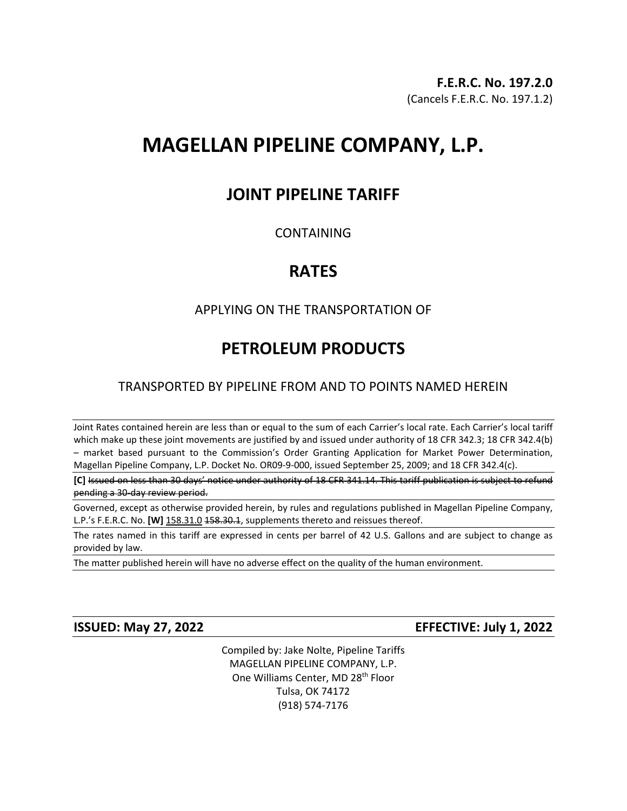# **MAGELLAN PIPELINE COMPANY, L.P.**

# **JOINT PIPELINE TARIFF**

## CONTAINING

# **RATES**

# APPLYING ON THE TRANSPORTATION OF

# **PETROLEUM PRODUCTS**

# TRANSPORTED BY PIPELINE FROM AND TO POINTS NAMED HEREIN

Joint Rates contained herein are less than or equal to the sum of each Carrier's local rate. Each Carrier's local tariff which make up these joint movements are justified by and issued under authority of 18 CFR 342.3; 18 CFR 342.4(b) – market based pursuant to the Commission's Order Granting Application for Market Power Determination, Magellan Pipeline Company, L.P. Docket No. OR09-9-000, issued September 25, 2009; and 18 CFR 342.4(c).

**[C]** Issued on less than 30 days' notice under authority of 18 CFR 341.14. This tariff publication is subject to refund pending a 30-day review period.

Governed, except as otherwise provided herein, by rules and regulations published in Magellan Pipeline Company, L.P.'s F.E.R.C. No. **[W]** 158.31.0 158.30.1, supplements thereto and reissues thereof.

The rates named in this tariff are expressed in cents per barrel of 42 U.S. Gallons and are subject to change as provided by law.

The matter published herein will have no adverse effect on the quality of the human environment.

**ISSUED: May 27, 2022 EFFECTIVE: July 1, 2022**

Compiled by: Jake Nolte, Pipeline Tariffs MAGELLAN PIPELINE COMPANY, L.P. One Williams Center, MD 28<sup>th</sup> Floor Tulsa, OK 74172 (918) 574-7176